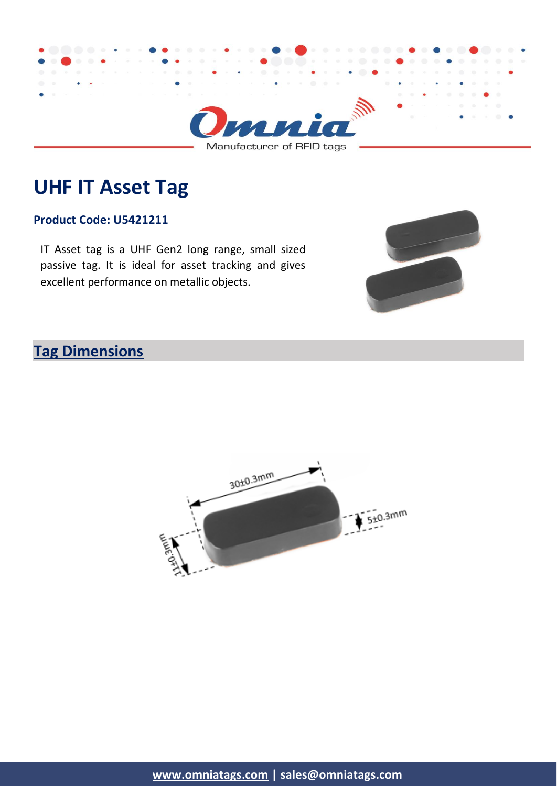

Manufacturer of RFID tags

# **UHF IT Asset Tag**

#### **Product Code: U5421211**

IT Asset tag is a UHF Gen2 long range, small sized passive tag. It is ideal for asset tracking and gives excellent performance on metallic objects.



## **Tag Dimensions**

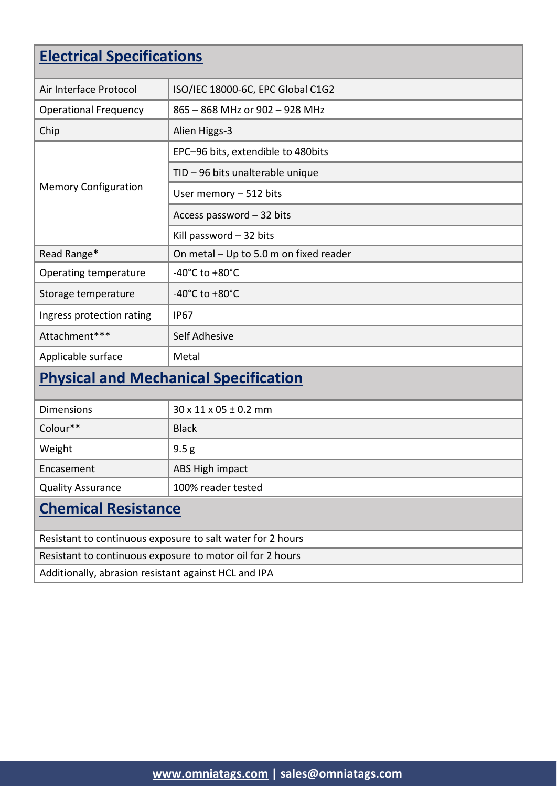# **Electrical Specifications**

| Air Interface Protocol                                     | ISO/IEC 18000-6C, EPC Global C1G2      |  |
|------------------------------------------------------------|----------------------------------------|--|
| <b>Operational Frequency</b>                               | 865 - 868 MHz or 902 - 928 MHz         |  |
| Chip                                                       | Alien Higgs-3                          |  |
| <b>Memory Configuration</b>                                | EPC-96 bits, extendible to 480bits     |  |
|                                                            | TID - 96 bits unalterable unique       |  |
|                                                            | User memory - 512 bits                 |  |
|                                                            | Access password - 32 bits              |  |
|                                                            | Kill password $-32$ bits               |  |
| Read Range*                                                | On metal - Up to 5.0 m on fixed reader |  |
| Operating temperature                                      | $-40^{\circ}$ C to $+80^{\circ}$ C     |  |
| Storage temperature                                        | -40 $^{\circ}$ C to +80 $^{\circ}$ C   |  |
| Ingress protection rating                                  | <b>IP67</b>                            |  |
| Attachment***                                              | Self Adhesive                          |  |
| Applicable surface                                         | Metal                                  |  |
| <b>Physical and Mechanical Specification</b>               |                                        |  |
| <b>Dimensions</b>                                          | $30 \times 11 \times 05 \pm 0.2$ mm    |  |
| Colour**                                                   | <b>Black</b>                           |  |
| Weight                                                     | 9.5 <sub>g</sub>                       |  |
| Encasement                                                 | ABS High impact                        |  |
| <b>Quality Assurance</b>                                   | 100% reader tested                     |  |
| <b>Chemical Resistance</b>                                 |                                        |  |
| Resistant to continuous exposure to salt water for 2 hours |                                        |  |
| Resistant to continuous exposure to motor oil for 2 hours  |                                        |  |
| Additionally, abrasion resistant against HCL and IPA       |                                        |  |